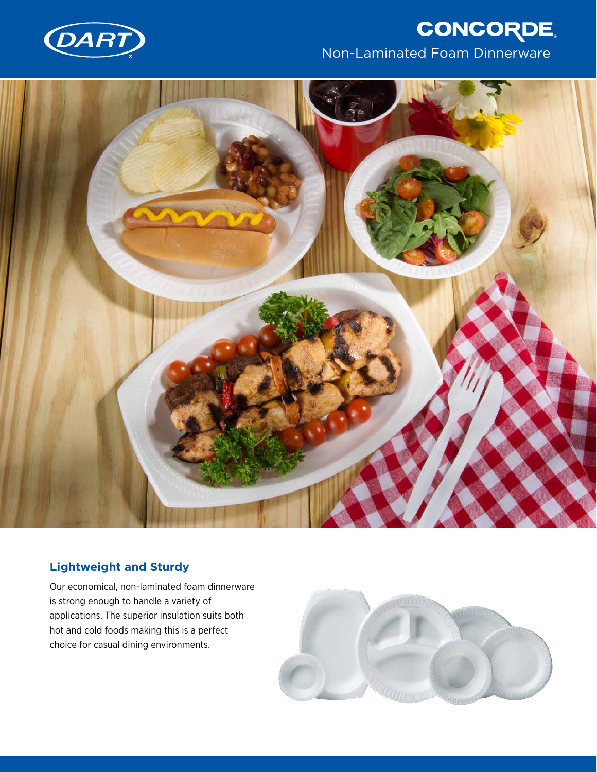# **CONCORDE**



### Non-Laminated Foam Dinnerware



#### **Lightweight and Sturdy**

Our economical, non-laminated foam dinnerware is strong enough to handle a variety of applications. The superior insulation suits both hot and cold foods making this is a perfect choice for casual dining environments.